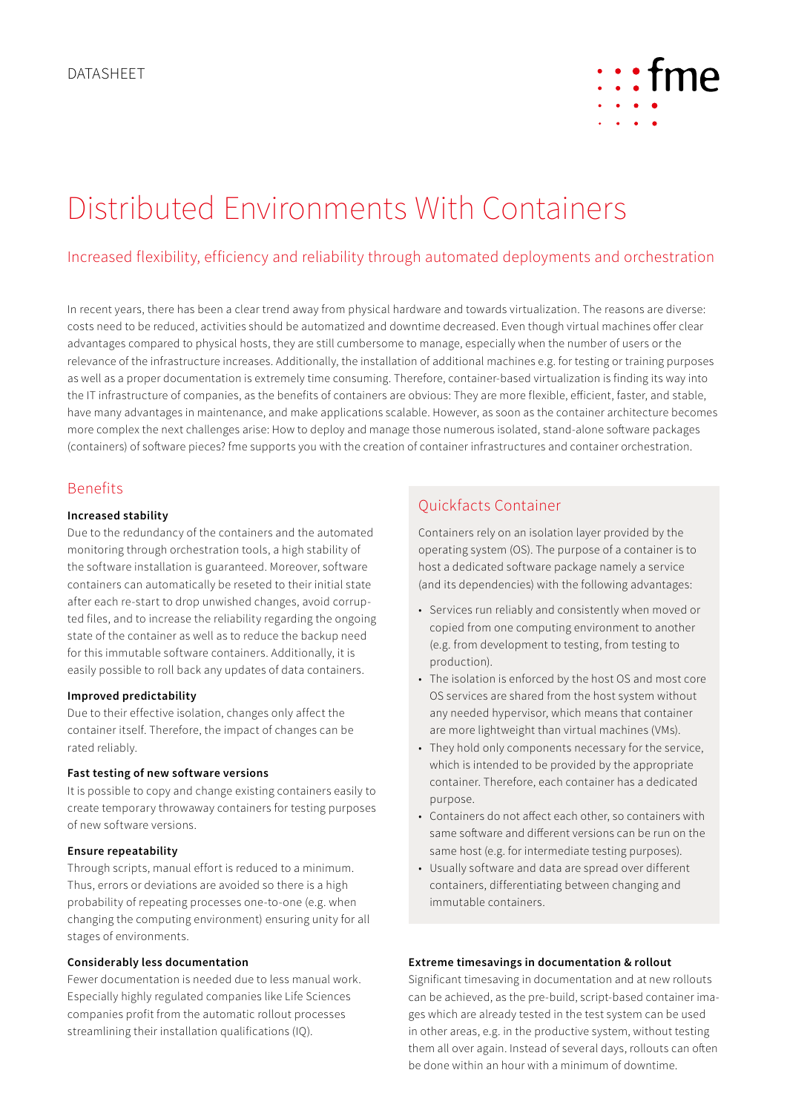

# Distributed Environments With Containers

# Increased flexibility, efficiency and reliability through automated deployments and orchestration

In recent years, there has been a clear trend away from physical hardware and towards virtualization. The reasons are diverse: costs need to be reduced, activities should be automatized and downtime decreased. Even though virtual machines offer clear advantages compared to physical hosts, they are still cumbersome to manage, especially when the number of users or the relevance of the infrastructure increases. Additionally, the installation of additional machines e.g. for testing or training purposes as well as a proper documentation is extremely time consuming. Therefore, container-based virtualization is finding its way into the IT infrastructure of companies, as the benefits of containers are obvious: They are more flexible, efficient, faster, and stable, have many advantages in maintenance, and make applications scalable. However, as soon as the container architecture becomes more complex the next challenges arise: How to deploy and manage those numerous isolated, stand-alone software packages (containers) of software pieces? fme supports you with the creation of container infrastructures and container orchestration.

## Benefits

## **Increased stability**

Due to the redundancy of the containers and the automated monitoring through orchestration tools, a high stability of the software installation is guaranteed. Moreover, software containers can automatically be reseted to their initial state after each re-start to drop unwished changes, avoid corrupted files, and to increase the reliability regarding the ongoing state of the container as well as to reduce the backup need for this immutable software containers. Additionally, it is easily possible to roll back any updates of data containers.

### **Improved predictability**

Due to their effective isolation, changes only affect the container itself. Therefore, the impact of changes can be rated reliably.

#### **Fast testing of new software versions**

It is possible to copy and change existing containers easily to create temporary throwaway containers for testing purposes of new software versions.

#### **Ensure repeatability**

Through scripts, manual effort is reduced to a minimum. Thus, errors or deviations are avoided so there is a high probability of repeating processes one-to-one (e.g. when changing the computing environment) ensuring unity for all stages of environments.

## **Considerably less documentation**

Fewer documentation is needed due to less manual work. Especially highly regulated companies like Life Sciences companies profit from the automatic rollout processes streamlining their installation qualifications (IQ).

# Quickfacts Container

Containers rely on an isolation layer provided by the operating system (OS). The purpose of a container is to host a dedicated software package namely a service (and its dependencies) with the following advantages:

- • Services run reliably and consistently when moved or copied from one computing environment to another (e.g. from development to testing, from testing to production).
- The isolation is enforced by the host OS and most core OS services are shared from the host system without any needed hypervisor, which means that container are more lightweight than virtual machines (VMs).
- They hold only components necessary for the service, which is intended to be provided by the appropriate container. Therefore, each container has a dedicated purpose.
- • Containers do not affect each other, so containers with same software and different versions can be run on the same host (e.g. for intermediate testing purposes).
- Usually software and data are spread over different containers, differentiating between changing and immutable containers.

## **Extreme timesavings in documentation & rollout**

Significant timesaving in documentation and at new rollouts can be achieved, as the pre-build, script-based container images which are already tested in the test system can be used in other areas, e.g. in the productive system, without testing them all over again. Instead of several days, rollouts can often be done within an hour with a minimum of downtime.